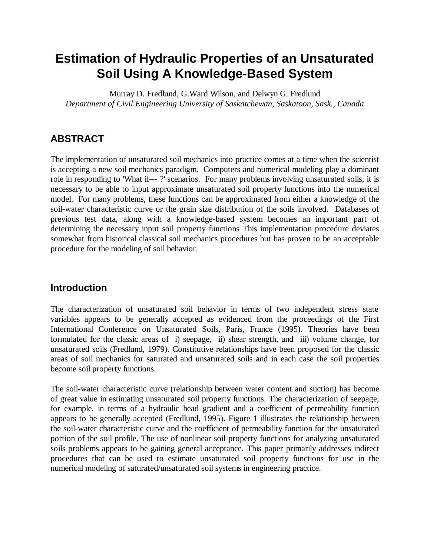# **Estimation of Hydraulic Properties of an Unsaturated Soil Using A Knowledge-Based System**

Murray D. Fredlund, G.Ward Wilson, and Delwyn G. Fredlund *Department of Civil Engineering University of Saskatchewan, Saskatoon, Sask., Canada*

# **ABSTRACT**

The implementation of unsaturated soil mechanics into practice comes at a time when the scientist is accepting a new soil mechanics paradigm. Computers and numerical modeling play a dominant role in responding to 'What if--- ?' scenarios. For many problems involving unsaturated soils, it is necessary to be able to input approximate unsaturated soil property functions into the numerical model. For many problems, these functions can be approximated from either a knowledge of the soil-water characteristic curve or the grain size distribution of the soils involved. Databases of previous test data, along with a knowledge-based system becomes an important part of determining the necessary input soil property functions This implementation procedure deviates somewhat from historical classical soil mechanics procedures but has proven to be an acceptable procedure for the modeling of soil behavior.

### **Introduction**

The characterization of unsaturated soil behavior in terms of two independent stress state variables appears to be generally accepted as evidenced from the proceedings of the First International Conference on Unsaturated Soils, Paris, France (1995). Theories have been formulated for the classic areas of i) seepage, ii) shear strength, and iii) volume change, for unsaturated soils (Fredlund, 1979). Constitutive relationships have been proposed for the classic areas of soil mechanics for saturated and unsaturated soils and in each case the soil properties become soil property functions.

The soil-water characteristic curve (relationship between water content and suction) has become of great value in estimating unsaturated soil property functions. The characterization of seepage, for example, in terms of a hydraulic head gradient and a coefficient of permeability function appears to be generally accepted (Fredlund, 1995). Figure 1 illustrates the relationship between the soil-water characteristic curve and the coefficient of permeability function for the unsaturated portion of the soil profile. The use of nonlinear soil property functions for analyzing unsaturated soils problems appears to be gaining general acceptance. This paper primarily addresses indirect procedures that can be used to estimate unsaturated soil property functions for use in the numerical modeling of saturated/unsaturated soil systems in engineering practice.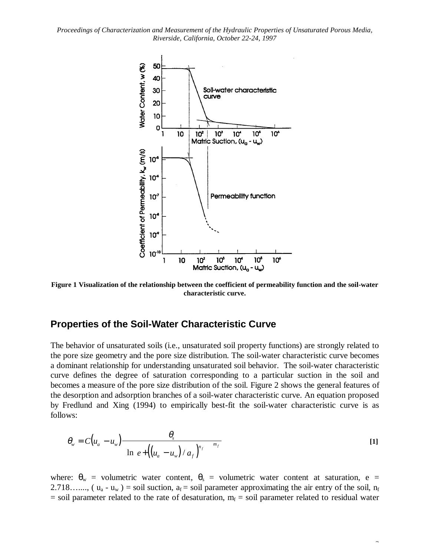

**Figure 1 Visualization of the relationship between the coefficient of permeability function and the soil-water characteristic curve.**

#### **Properties of the Soil-Water Characteristic Curve**

The behavior of unsaturated soils (i.e., unsaturated soil property functions) are strongly related to the pore size geometry and the pore size distribution. The soil-water characteristic curve becomes a dominant relationship for understanding unsaturated soil behavior. The soil-water characteristic curve defines the degree of saturation corresponding to a particular suction in the soil and becomes a measure of the pore size distribution of the soil. Figure 2 shows the general features of the desorption and adsorption branches of a soil-water characteristic curve. An equation proposed by Fredlund and Xing (1994) to empirically best-fit the soil-water characteristic curve is as follows:

$$
\theta_{w} = C(u_{a} - u_{w}) \frac{\theta_{s}}{\left\{\ln\left[e + \left(\left(u_{a} - u_{w}\right)/a_{f}\right)^{n_{f}}\right]\right\}^{m_{f}}}
$$
\n[1]

where:  $\theta_w$  = volumetric water content,  $\theta_s$  = volumetric water content at saturation, e = 2.718……, ( $u_a - u_w$ ) = soil suction,  $a_f$  = soil parameter approximating the air entry of the soil,  $n_f$  $=$  soil parameter related to the rate of desaturation,  $m_f =$  soil parameter related to residual water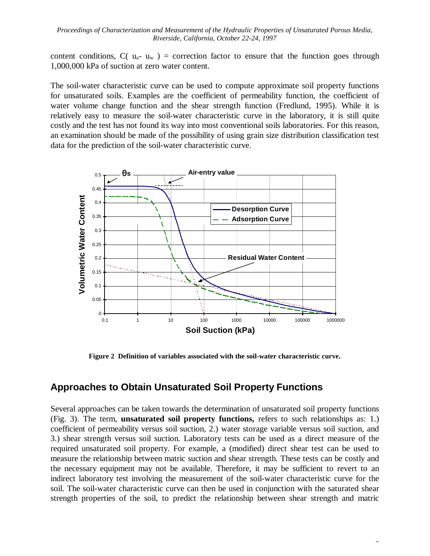content conditions,  $C(u_{a} - u_{w}) =$  correction factor to ensure that the function goes through 1,000,000 kPa of suction at zero water content.

The soil-water characteristic curve can be used to compute approximate soil property functions for unsaturated soils. Examples are the coefficient of permeability function, the coefficient of water volume change function and the shear strength function (Fredlund, 1995). While it is relatively easy to measure the soil-water characteristic curve in the laboratory, it is still quite costly and the test has not found its way into most conventional soils laboratories. For this reason, an examination should be made of the possibility of using grain size distribution classification test data for the prediction of the soil-water characteristic curve.



**Figure 2 Definition of variables associated with the soil-water characteristic curve.**

### **Approaches to Obtain Unsaturated Soil Property Functions**

Several approaches can be taken towards the determination of unsaturated soil property functions (Fig. 3). The term, **unsaturated soil property functions,** refers to such relationships as: 1.) coefficient of permeability versus soil suction, 2.) water storage variable versus soil suction, and 3.) shear strength versus soil suction. Laboratory tests can be used as a direct measure of the required unsaturated soil property. For example, a (modified) direct shear test can be used to measure the relationship between matric suction and shear strength. These tests can be costly and the necessary equipment may not be available. Therefore, it may be sufficient to revert to an indirect laboratory test involving the measurement of the soil-water characteristic curve for the soil. The soil-water characteristic curve can then be used in conjunction with the saturated shear strength properties of the soil, to predict the relationship between shear strength and matric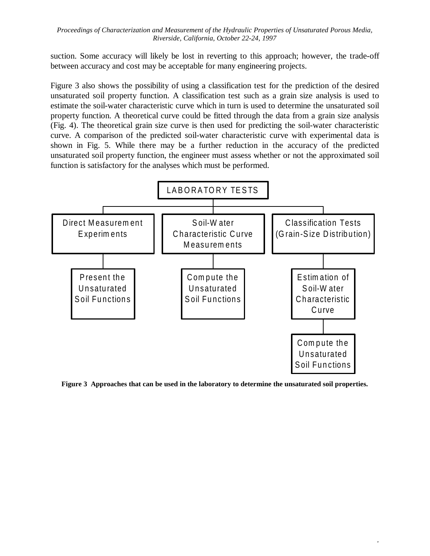suction. Some accuracy will likely be lost in reverting to this approach; however, the trade-off between accuracy and cost may be acceptable for many engineering projects.

Figure 3 also shows the possibility of using a classification test for the prediction of the desired unsaturated soil property function. A classification test such as a grain size analysis is used to estimate the soil-water characteristic curve which in turn is used to determine the unsaturated soil property function. A theoretical curve could be fitted through the data from a grain size analysis (Fig. 4). The theoretical grain size curve is then used for predicting the soil-water characteristic curve. A comparison of the predicted soil-water characteristic curve with experimental data is shown in Fig. 5. While there may be a further reduction in the accuracy of the predicted unsaturated soil property function, the engineer must assess whether or not the approximated soil function is satisfactory for the analyses which must be performed.



**Figure 3 Approaches that can be used in the laboratory to determine the unsaturated soil properties.**

 $\ddot{\phantom{a}}$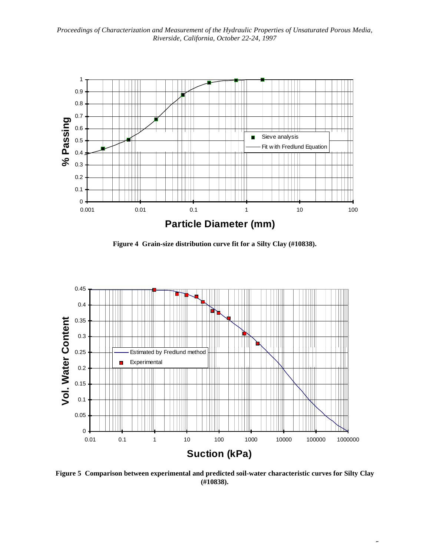

**Figure 4 Grain-size distribution curve fit for a Silty Clay (#10838).**



**Figure 5 Comparison between experimental and predicted soil-water characteristic curves for Silty Clay (#10838).**

 $\overline{a}$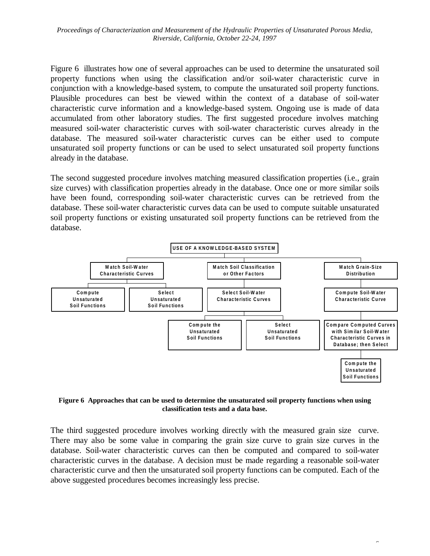Figure 6 illustrates how one of several approaches can be used to determine the unsaturated soil property functions when using the classification and/or soil-water characteristic curve in conjunction with a knowledge-based system, to compute the unsaturated soil property functions. Plausible procedures can best be viewed within the context of a database of soil-water characteristic curve information and a knowledge-based system. Ongoing use is made of data accumulated from other laboratory studies. The first suggested procedure involves matching measured soil-water characteristic curves with soil-water characteristic curves already in the database. The measured soil-water characteristic curves can be either used to compute unsaturated soil property functions or can be used to select unsaturated soil property functions already in the database.

The second suggested procedure involves matching measured classification properties (i.e., grain size curves) with classification properties already in the database. Once one or more similar soils have been found, corresponding soil-water characteristic curves can be retrieved from the database. These soil-water characteristic curves data can be used to compute suitable unsaturated soil property functions or existing unsaturated soil property functions can be retrieved from the database.



**Figure 6 Approaches that can be used to determine the unsaturated soil property functions when using classification tests and a data base.**

The third suggested procedure involves working directly with the measured grain size curve. There may also be some value in comparing the grain size curve to grain size curves in the database. Soil-water characteristic curves can then be computed and compared to soil-water characteristic curves in the database. A decision must be made regarding a reasonable soil-water characteristic curve and then the unsaturated soil property functions can be computed. Each of the above suggested procedures becomes increasingly less precise.

6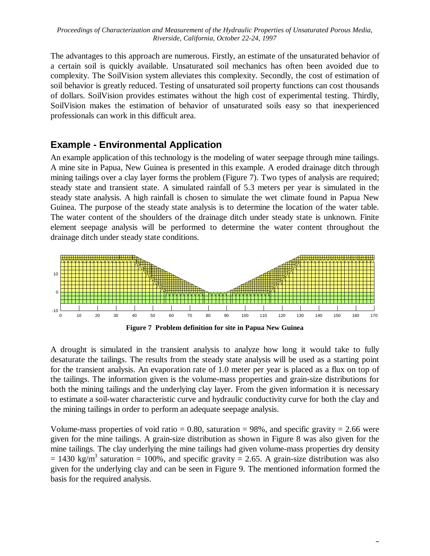The advantages to this approach are numerous. Firstly, an estimate of the unsaturated behavior of a certain soil is quickly available. Unsaturated soil mechanics has often been avoided due to complexity. The SoilVision system alleviates this complexity. Secondly, the cost of estimation of soil behavior is greatly reduced. Testing of unsaturated soil property functions can cost thousands of dollars. SoilVision provides estimates without the high cost of experimental testing. Thirdly, SoilVision makes the estimation of behavior of unsaturated soils easy so that inexperienced professionals can work in this difficult area.

### **Example - Environmental Application**

An example application of this technology is the modeling of water seepage through mine tailings. A mine site in Papua, New Guinea is presented in this example. A eroded drainage ditch through mining tailings over a clay layer forms the problem (Figure 7). Two types of analysis are required; steady state and transient state. A simulated rainfall of 5.3 meters per year is simulated in the steady state analysis. A high rainfall is chosen to simulate the wet climate found in Papua New Guinea. The purpose of the steady state analysis is to determine the location of the water table. The water content of the shoulders of the drainage ditch under steady state is unknown. Finite element seepage analysis will be performed to determine the water content throughout the drainage ditch under steady state conditions.



A drought is simulated in the transient analysis to analyze how long it would take to fully desaturate the tailings. The results from the steady state analysis will be used as a starting point for the transient analysis. An evaporation rate of 1.0 meter per year is placed as a flux on top of the tailings. The information given is the volume-mass properties and grain-size distributions for both the mining tailings and the underlying clay layer. From the given information it is necessary to estimate a soil-water characteristic curve and hydraulic conductivity curve for both the clay and the mining tailings in order to perform an adequate seepage analysis.

Volume-mass properties of void ratio  $= 0.80$ , saturation  $= 98\%$ , and specific gravity  $= 2.66$  were given for the mine tailings. A grain-size distribution as shown in Figure 8 was also given for the mine tailings. The clay underlying the mine tailings had given volume-mass properties dry density  $= 1430 \text{ kg/m}^3$  saturation  $= 100\%$ , and specific gravity  $= 2.65$ . A grain-size distribution was also given for the underlying clay and can be seen in Figure 9. The mentioned information formed the basis for the required analysis.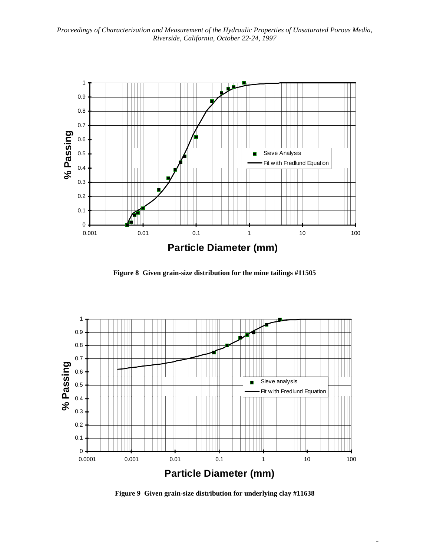

**Figure 8 Given grain-size distribution for the mine tailings #11505**



**Figure 9 Given grain-size distribution for underlying clay #11638**

 $\overline{a}$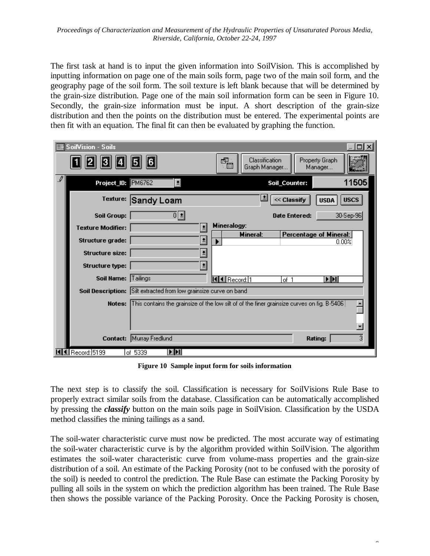The first task at hand is to input the given information into SoilVision. This is accomplished by inputting information on page one of the main soils form, page two of the main soil form, and the geography page of the soil form. The soil texture is left blank because that will be determined by the grain-size distribution. Page one of the main soil information form can be seen in Figure 10. Secondly, the grain-size information must be input. A short description of the grain-size distribution and then the points on the distribution must be entered. The experimental points are then fit with an equation. The final fit can then be evaluated by graphing the function.

|    | <b>E</b> SoilVision - Soils                                                                 | 16                                                                                                                                                                                                                                                          | Classification<br>$\blacksquare$<br>Graph Manager | Property Graph<br>Manager                 |  |
|----|---------------------------------------------------------------------------------------------|-------------------------------------------------------------------------------------------------------------------------------------------------------------------------------------------------------------------------------------------------------------|---------------------------------------------------|-------------------------------------------|--|
| .₽ | Project_ID: PM6762                                                                          | $\vert \bullet \vert$                                                                                                                                                                                                                                       | Soil_Counter:                                     | 11505                                     |  |
|    | Texture:                                                                                    | Sandy Loam                                                                                                                                                                                                                                                  | 르                                                 | <b>USCS</b><br><< Classify<br><b>USDA</b> |  |
|    | <b>Soil Group:</b>                                                                          | 하봐                                                                                                                                                                                                                                                          |                                                   | 30-Sep-96<br><b>Date Entered:</b>         |  |
|    | <b>Texture Modifier:</b>                                                                    | Mineralogy:<br>$\vert \cdot \vert$                                                                                                                                                                                                                          |                                                   |                                           |  |
|    | Structure grade:                                                                            | ₫                                                                                                                                                                                                                                                           | <b>Mineral:</b>                                   | Percentage of Mineral:<br>0.00%           |  |
|    | Structure size:                                                                             | 비                                                                                                                                                                                                                                                           |                                                   |                                           |  |
|    | <b>Structure type:</b>                                                                      | 븨                                                                                                                                                                                                                                                           |                                                   |                                           |  |
|    | Soil Name: Tailings                                                                         |                                                                                                                                                                                                                                                             | KKI Record: 1                                     | NЫ<br>of 1                                |  |
|    |                                                                                             | Soil Description: Silt extracted from low grainsize curve on band<br>$\left  \mathrm{This} \right $ contains the grainsize of the low silt of of the finer grainsize curves on fig. <code>B-5406</code> $\left  \right $<br><b>Notes:</b><br>$\blacksquare$ |                                                   |                                           |  |
|    |                                                                                             |                                                                                                                                                                                                                                                             |                                                   |                                           |  |
|    | 3<br>Murray Fredlund<br>Contact:<br>Rating:<br>$\blacksquare$<br>KI Record: 5199<br>of 5339 |                                                                                                                                                                                                                                                             |                                                   |                                           |  |

**Figure 10 Sample input form for soils information**

The next step is to classify the soil. Classification is necessary for SoilVisions Rule Base to properly extract similar soils from the database. Classification can be automatically accomplished by pressing the *classify* button on the main soils page in SoilVision. Classification by the USDA method classifies the mining tailings as a sand.

The soil-water characteristic curve must now be predicted. The most accurate way of estimating the soil-water characteristic curve is by the algorithm provided within SoilVision. The algorithm estimates the soil-water characteristic curve from volume-mass properties and the grain-size distribution of a soil. An estimate of the Packing Porosity (not to be confused with the porosity of the soil) is needed to control the prediction. The Rule Base can estimate the Packing Porosity by pulling all soils in the system on which the prediction algorithm has been trained. The Rule Base then shows the possible variance of the Packing Porosity. Once the Packing Porosity is chosen,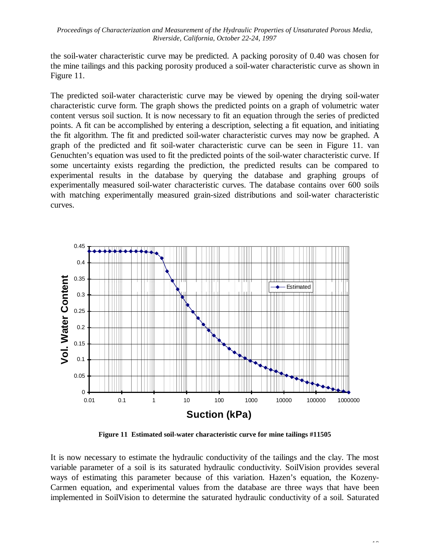the soil-water characteristic curve may be predicted. A packing porosity of 0.40 was chosen for the mine tailings and this packing porosity produced a soil-water characteristic curve as shown in Figure 11.

The predicted soil-water characteristic curve may be viewed by opening the drying soil-water characteristic curve form. The graph shows the predicted points on a graph of volumetric water content versus soil suction. It is now necessary to fit an equation through the series of predicted points. A fit can be accomplished by entering a description, selecting a fit equation, and initiating the fit algorithm. The fit and predicted soil-water characteristic curves may now be graphed. A graph of the predicted and fit soil-water characteristic curve can be seen in Figure 11. van Genuchten's equation was used to fit the predicted points of the soil-water characteristic curve. If some uncertainty exists regarding the prediction, the predicted results can be compared to experimental results in the database by querying the database and graphing groups of experimentally measured soil-water characteristic curves. The database contains over 600 soils with matching experimentally measured grain-sized distributions and soil-water characteristic curves.



**Figure 11 Estimated soil-water characteristic curve for mine tailings #11505**

It is now necessary to estimate the hydraulic conductivity of the tailings and the clay. The most variable parameter of a soil is its saturated hydraulic conductivity. SoilVision provides several ways of estimating this parameter because of this variation. Hazen's equation, the Kozeny-Carmen equation, and experimental values from the database are three ways that have been implemented in SoilVision to determine the saturated hydraulic conductivity of a soil. Saturated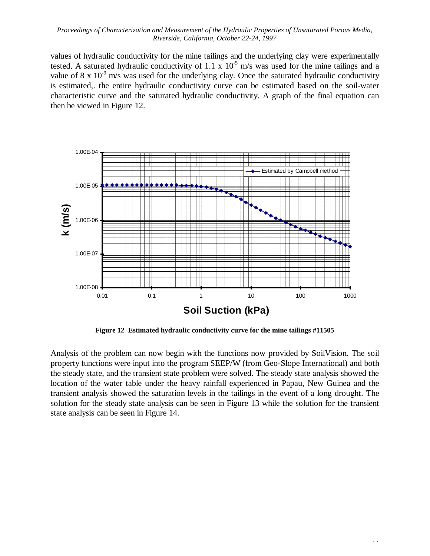values of hydraulic conductivity for the mine tailings and the underlying clay were experimentally tested. A saturated hydraulic conductivity of  $1.1 \times 10^{-5}$  m/s was used for the mine tailings and a value of 8 x  $10^{-9}$  m/s was used for the underlying clay. Once the saturated hydraulic conductivity is estimated,. the entire hydraulic conductivity curve can be estimated based on the soil-water characteristic curve and the saturated hydraulic conductivity. A graph of the final equation can then be viewed in Figure 12.



**Figure 12 Estimated hydraulic conductivity curve for the mine tailings #11505**

Analysis of the problem can now begin with the functions now provided by SoilVision. The soil property functions were input into the program SEEP/W (from Geo-Slope International) and both the steady state, and the transient state problem were solved. The steady state analysis showed the location of the water table under the heavy rainfall experienced in Papau, New Guinea and the transient analysis showed the saturation levels in the tailings in the event of a long drought. The solution for the steady state analysis can be seen in Figure 13 while the solution for the transient state analysis can be seen in Figure 14.

 $\sim$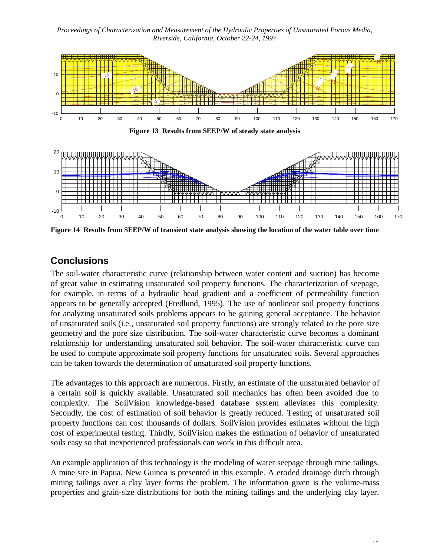*Proceedings of Characterization and Measurement of the Hydraulic Properties of Unsaturated Porous Media, Riverside, California, October 22-24, 1997*



**Figure 13 Results from SEEP/W of steady state analysis**



**Figure 14 Results from SEEP/W of transient state analysis showing the location of the water table over time**

# **Conclusions**

The soil-water characteristic curve (relationship between water content and suction) has become of great value in estimating unsaturated soil property functions. The characterization of seepage, for example, in terms of a hydraulic head gradient and a coefficient of permeability function appears to be generally accepted (Fredlund, 1995). The use of nonlinear soil property functions for analyzing unsaturated soils problems appears to be gaining general acceptance. The behavior of unsaturated soils (i.e., unsaturated soil property functions) are strongly related to the pore size geometry and the pore size distribution. The soil-water characteristic curve becomes a dominant relationship for understanding unsaturated soil behavior. The soil-water characteristic curve can be used to compute approximate soil property functions for unsaturated soils. Several approaches can be taken towards the determination of unsaturated soil property functions.

The advantages to this approach are numerous. Firstly, an estimate of the unsaturated behavior of a certain soil is quickly available. Unsaturated soil mechanics has often been avoided due to complexity. The SoilVision knowledge-based database system alleviates this complexity. Secondly, the cost of estimation of soil behavior is greatly reduced. Testing of unsaturated soil property functions can cost thousands of dollars. SoilVision provides estimates without the high cost of experimental testing. Thirdly, SoilVision makes the estimation of behavior of unsaturated soils easy so that inexperienced professionals can work in this difficult area.

An example application of this technology is the modeling of water seepage through mine tailings. A mine site in Papua, New Guinea is presented in this example. A eroded drainage ditch through mining tailings over a clay layer forms the problem. The information given is the volume-mass properties and grain-size distributions for both the mining tailings and the underlying clay layer.